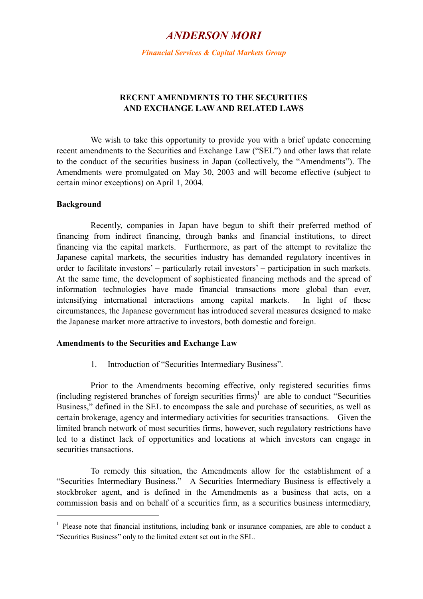# *ANDERSON MORI*

*Financial Services & Capital Markets Group* 

# **RECENT AMENDMENTS TO THE SECURITIES AND EXCHANGE LAW AND RELATED LAWS**

 We wish to take this opportunity to provide you with a brief update concerning recent amendments to the Securities and Exchange Law ("SEL") and other laws that relate to the conduct of the securities business in Japan (collectively, the "Amendments"). The Amendments were promulgated on May 30, 2003 and will become effective (subject to certain minor exceptions) on April 1, 2004.

#### **Background**

 $\overline{a}$ 

 Recently, companies in Japan have begun to shift their preferred method of financing from indirect financing, through banks and financial institutions, to direct financing via the capital markets. Furthermore, as part of the attempt to revitalize the Japanese capital markets, the securities industry has demanded regulatory incentives in order to facilitate investors' – particularly retail investors' – participation in such markets. At the same time, the development of sophisticated financing methods and the spread of information technologies have made financial transactions more global than ever, intensifying international interactions among capital markets. In light of these circumstances, the Japanese government has introduced several measures designed to make the Japanese market more attractive to investors, both domestic and foreign.

## **Amendments to the Securities and Exchange Law**

## 1.Introduction of "Securities Intermediary Business".

 Prior to the Amendments becoming effective, only registered securities firms (including registered branches of foreign securities firms)<sup>[1](#page-0-0)</sup> are able to conduct "Securities Business," defined in the SEL to encompass the sale and purchase of securities, as well as certain brokerage, agency and intermediary activities for securities transactions. Given the limited branch network of most securities firms, however, such regulatory restrictions have led to a distinct lack of opportunities and locations at which investors can engage in securities transactions.

 To remedy this situation, the Amendments allow for the establishment of a "Securities Intermediary Business." A Securities Intermediary Business is effectively a stockbroker agent, and is defined in the Amendments as a business that acts, on a commission basis and on behalf of a securities firm, as a securities business intermediary,

<span id="page-0-0"></span><sup>&</sup>lt;sup>1</sup> Please note that financial institutions, including bank or insurance companies, are able to conduct a "Securities Business" only to the limited extent set out in the SEL.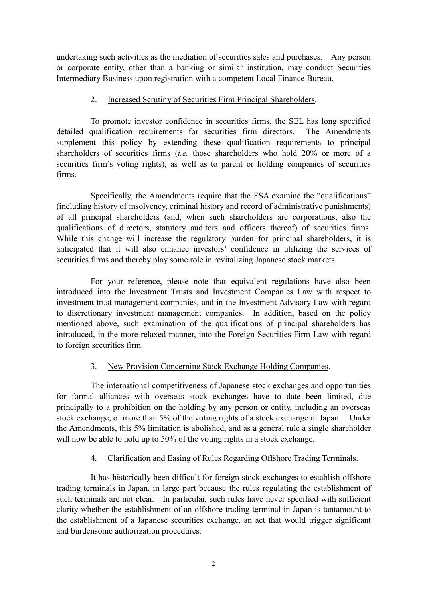undertaking such activities as the mediation of securities sales and purchases. Any person or corporate entity, other than a banking or similar institution, may conduct Securities Intermediary Business upon registration with a competent Local Finance Bureau.

## 2. Increased Scrutiny of Securities Firm Principal Shareholders.

To promote investor confidence in securities firms, the SEL has long specified detailed qualification requirements for securities firm directors. The Amendments supplement this policy by extending these qualification requirements to principal shareholders of securities firms (*i.e.* those shareholders who hold 20% or more of a securities firm's voting rights), as well as to parent or holding companies of securities firms.

Specifically, the Amendments require that the FSA examine the "qualifications" (including history of insolvency, criminal history and record of administrative punishments) of all principal shareholders (and, when such shareholders are corporations, also the qualifications of directors, statutory auditors and officers thereof) of securities firms. While this change will increase the regulatory burden for principal shareholders, it is anticipated that it will also enhance investors' confidence in utilizing the services of securities firms and thereby play some role in revitalizing Japanese stock markets.

For your reference, please note that equivalent regulations have also been introduced into the Investment Trusts and Investment Companies Law with respect to investment trust management companies, and in the Investment Advisory Law with regard to discretionary investment management companies. In addition, based on the policy mentioned above, such examination of the qualifications of principal shareholders has introduced, in the more relaxed manner, into the Foreign Securities Firm Law with regard to foreign securities firm.

## 3. New Provision Concerning Stock Exchange Holding Companies.

The international competitiveness of Japanese stock exchanges and opportunities for formal alliances with overseas stock exchanges have to date been limited, due principally to a prohibition on the holding by any person or entity, including an overseas stock exchange, of more than 5% of the voting rights of a stock exchange in Japan. Under the Amendments, this 5% limitation is abolished, and as a general rule a single shareholder will now be able to hold up to 50% of the voting rights in a stock exchange.

## 4. Clarification and Easing of Rules Regarding Offshore Trading Terminals.

It has historically been difficult for foreign stock exchanges to establish offshore trading terminals in Japan, in large part because the rules regulating the establishment of such terminals are not clear. In particular, such rules have never specified with sufficient clarity whether the establishment of an offshore trading terminal in Japan is tantamount to the establishment of a Japanese securities exchange, an act that would trigger significant and burdensome authorization procedures.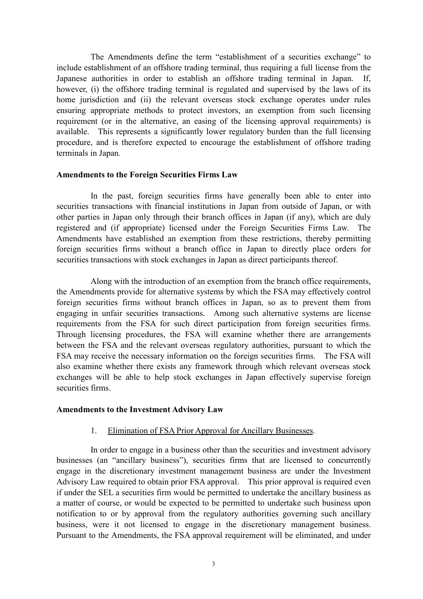The Amendments define the term "establishment of a securities exchange" to include establishment of an offshore trading terminal, thus requiring a full license from the Japanese authorities in order to establish an offshore trading terminal in Japan. If, however, (i) the offshore trading terminal is regulated and supervised by the laws of its home jurisdiction and (ii) the relevant overseas stock exchange operates under rules ensuring appropriate methods to protect investors, an exemption from such licensing requirement (or in the alternative, an easing of the licensing approval requirements) is available. This represents a significantly lower regulatory burden than the full licensing procedure, and is therefore expected to encourage the establishment of offshore trading terminals in Japan.

#### **Amendments to the Foreign Securities Firms Law**

In the past, foreign securities firms have generally been able to enter into securities transactions with financial institutions in Japan from outside of Japan, or with other parties in Japan only through their branch offices in Japan (if any), which are duly registered and (if appropriate) licensed under the Foreign Securities Firms Law. The Amendments have established an exemption from these restrictions, thereby permitting foreign securities firms without a branch office in Japan to directly place orders for securities transactions with stock exchanges in Japan as direct participants thereof.

Along with the introduction of an exemption from the branch office requirements, the Amendments provide for alternative systems by which the FSA may effectively control foreign securities firms without branch offices in Japan, so as to prevent them from engaging in unfair securities transactions. Among such alternative systems are license requirements from the FSA for such direct participation from foreign securities firms. Through licensing procedures, the FSA will examine whether there are arrangements between the FSA and the relevant overseas regulatory authorities, pursuant to which the FSA may receive the necessary information on the foreign securities firms. The FSA will also examine whether there exists any framework through which relevant overseas stock exchanges will be able to help stock exchanges in Japan effectively supervise foreign securities firms.

#### **Amendments to the Investment Advisory Law**

## 1.Elimination of FSA Prior Approval for Ancillary Businesses.

In order to engage in a business other than the securities and investment advisory businesses (an "ancillary business"), securities firms that are licensed to concurrently engage in the discretionary investment management business are under the Investment Advisory Law required to obtain prior FSA approval. This prior approval is required even if under the SEL a securities firm would be permitted to undertake the ancillary business as a matter of course, or would be expected to be permitted to undertake such business upon notification to or by approval from the regulatory authorities governing such ancillary business, were it not licensed to engage in the discretionary management business. Pursuant to the Amendments, the FSA approval requirement will be eliminated, and under